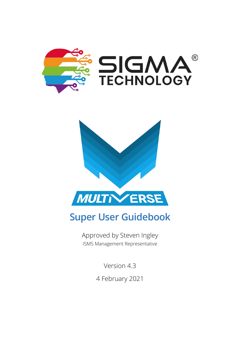



Approved by Steven Ingley ISMS Management Representative

Version 4.3

4 February 2021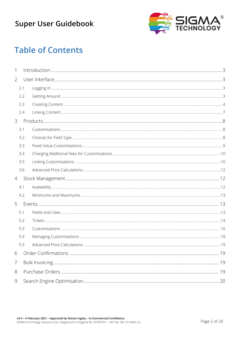

## **Table of Contents**

| 1              |     |  |
|----------------|-----|--|
| $\overline{2}$ |     |  |
|                | 2.1 |  |
|                | 2.2 |  |
|                | 2.3 |  |
|                | 2.4 |  |
| 3              |     |  |
|                | 3.1 |  |
|                | 3.2 |  |
|                | 3.3 |  |
|                | 3.4 |  |
|                | 3.5 |  |
|                | 3.6 |  |
| $\overline{4}$ |     |  |
|                | 4.1 |  |
|                | 4.2 |  |
| 5              |     |  |
|                | 5.1 |  |
|                | 5.2 |  |
|                | 5.3 |  |
|                | 5.4 |  |
|                | 5.5 |  |
| 6              |     |  |
| $\overline{7}$ |     |  |
| $8\,$          |     |  |
| $\mathcal{G}$  |     |  |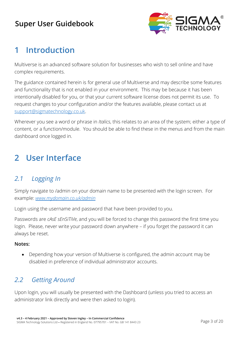

## <span id="page-2-0"></span>**1 Introduction**

Multiverse is an advanced software solution for businesses who wish to sell online and have complex requirements.

The guidance contained herein is for general use of Multiverse and may describe some features and functionality that is not enabled in your environment. This may be because it has been intentionally disabled for you, or that your current software license does not permit its use. To request changes to your configuration and/or the features available, please contact us at [support@sigmatechnology.co.uk.](mailto:support@sigmatechnology.co.uk)

Wherever you see a word or phrase in *Italics*, this relates to an area of the system; either a type of content, or a function/module. You should be able to find these in the menus and from the main dashboard once logged in.

# <span id="page-2-1"></span>**2 User Interface**

### <span id="page-2-2"></span>*2.1 Logging In*

Simply navigate to /admin on your domain name to be presented with the login screen. For example: *[www.mydomain.co.uk/admin](http://www.mydomain.co.uk/admin)*

Login using the username and password that have been provided to you.

Passwords are *cAsE sEnSiTiVe*, and you will be forced to change this password the first time you login. Please, never write your password down anywhere – if you forget the password it can always be reset.

#### **Notes:**

• Depending how your version of Multiverse is configured, the admin account may be disabled in preference of individual administrator accounts.

### <span id="page-2-3"></span>*2.2 Getting Around*

Upon login, you will usually be presented with the Dashboard (unless you tried to access an administrator link directly and were then asked to login).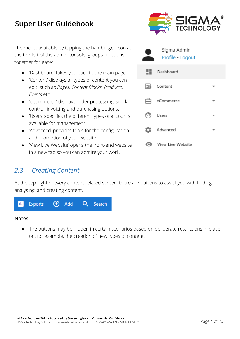together for ease:

*Events* etc.



#### <span id="page-3-0"></span>*2.3 Creating Content*

At the top-right of every content-related screen, there are buttons to assist you with finding, analysing, and creating content.



in a new tab so you can admire your work.

#### **Notes:**

• The buttons may be hidden in certain scenarios based on deliberate restrictions in place on, for example, the creation of new types of content.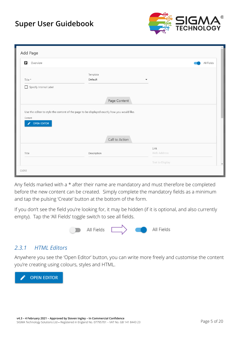

| Add Page                               |                                                                                             |                     |  |
|----------------------------------------|---------------------------------------------------------------------------------------------|---------------------|--|
| 自<br>Overview                          |                                                                                             | All Fields          |  |
| Title *<br>Specify Internal Label<br>П | Template<br>Default                                                                         | ▼                   |  |
|                                        | Page Content                                                                                |                     |  |
| Content<br><b>OPEN EDITOR</b><br>v     | Use the editor to style the content of the page to be displayed exactly how you would like. |                     |  |
|                                        | Call to Action                                                                              |                     |  |
| Title                                  | Description                                                                                 | Link<br>Web Address |  |
|                                        |                                                                                             | Text to Display     |  |
| CLOSE                                  |                                                                                             |                     |  |

Any fields marked with a \* after their name are mandatory and must therefore be completed before the new content can be created. Simply complete the mandatory fields as a minimum and tap the pulsing 'Create' button at the bottom of the form.

If you don't see the field you're looking for, it may be hidden (if it is optional, and also currently empty). Tap the 'All Fields' toggle switch to see all fields.



#### *2.3.1 HTML Editors*

Anywhere you see the 'Open Editor' button, you can write more freely and customise the content you're creating using colours, styles and HTML.

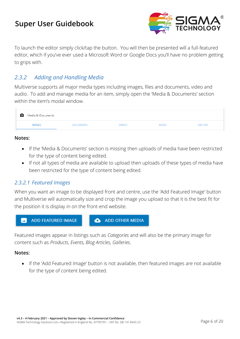

To launch the editor simply click/tap the button. You will then be presented will a full-featured editor, which if you've ever used a Microsoft Word or Google Docs you'll have no problem getting to grips with.

#### *2.3.2 Adding and Handling Media*

Multiverse supports all major media types including images, files and documents, video and audio. To add and manage media for an item, simply open the 'Media & Documents' section within the item's modal window.

| [o]<br>Media & Documents |                  |               |              |                |
|--------------------------|------------------|---------------|--------------|----------------|
| <b>IMAGES</b>            | <b>DOCUMENTS</b> | <b>VIDEOS</b> | <b>AUDIO</b> | <b>ARCHIVE</b> |

#### **Notes:**

- If the 'Media & Documents' section is missing then uploads of media have been restricted for the type of content being edited.
- If not all types of media are available to upload then uploads of these types of media have been restricted for the type of content being edited.

#### *2.3.2.1 Featured Images*

When you want an image to be displayed front and centre, use the 'Add Featured Image' button and Multiverse will automatically size and crop the image you upload so that it is the best fit for the position it is display in on the front-end website.



Featured images appear in listings such as *Categories* and will also be the primary image for content such as *Products*, *Events*, *Blog Articles*, *Galleries*.

#### **Notes:**

• If the 'Add Featured Image' button is not available, then featured images are not available for the type of content being edited.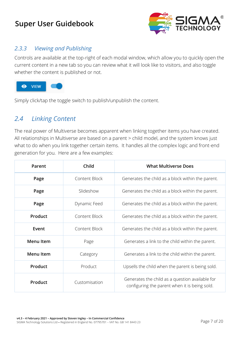

#### *2.3.3 Viewing and Publishing*

Controls are available at the top-right of each modal window, which allow you to quickly open the current content in a new tab so you can review what it will look like to visitors, and also toggle whether the content is published or not.



Simply click/tap the toggle switch to publish/unpublish the content.

#### <span id="page-6-0"></span>*2.4 Linking Content*

The real power of Multiverse becomes apparent when linking together items you have created. All relationships in Multiverse are based on a parent > child model, and the system knows just what to do when you link together certain items. It handles all the complex logic and front-end generation for you. Here are a few examples:

| Child<br><b>What Multiverse Does</b><br>Parent |               |                                                                                                  |  |
|------------------------------------------------|---------------|--------------------------------------------------------------------------------------------------|--|
| Page                                           | Content Block | Generates the child as a block within the parent.                                                |  |
| Page                                           | Slideshow     | Generates the child as a block within the parent.                                                |  |
| Page                                           | Dynamic Feed  | Generates the child as a block within the parent.                                                |  |
| Product                                        | Content Block | Generates the child as a block within the parent.                                                |  |
| Event                                          | Content Block | Generates the child as a block within the parent.                                                |  |
| <b>Menu Item</b>                               | Page          | Generates a link to the child within the parent.                                                 |  |
| <b>Menu Item</b>                               | Category      | Generates a link to the child within the parent.                                                 |  |
| Product                                        | Product       | Upsells the child when the parent is being sold.                                                 |  |
| Product                                        | Customisation | Generates the child as a question available for<br>configuring the parent when it is being sold. |  |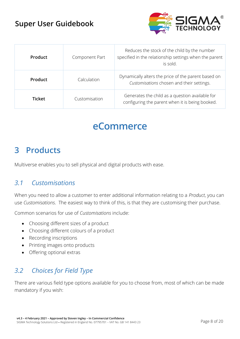

| <b>Product</b> | Component Part | Reduces the stock of the child by the number<br>specified in the relationship settings when the parent<br>is sold. |
|----------------|----------------|--------------------------------------------------------------------------------------------------------------------|
| Product        | Calculation    | Dynamically alters the price of the parent based on<br>Customisations chosen and their settings.                   |
| <b>Ticket</b>  | Customisation  | Generates the child as a question available for<br>configuring the parent when it is being booked.                 |

# **eCommerce**

## <span id="page-7-0"></span>**3 Products**

Multiverse enables you to sell physical and digital products with ease.

#### <span id="page-7-1"></span>*3.1 Customisations*

When you need to allow a customer to enter additional information relating to a *Product*, you can use *Customisations*. The easiest way to think of this, is that they are customising their purchase.

Common scenarios for use of *Customisations* include:

- Choosing different sizes of a product
- Choosing different colours of a product
- Recording inscriptions
- Printing images onto products
- Offering optional extras

### <span id="page-7-2"></span>*3.2 Choices for Field Type*

There are various field type options available for you to choose from, most of which can be made mandatory if you wish: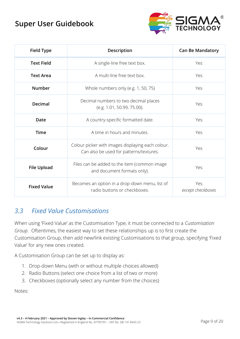

| <b>Field Type</b>  | Description                                                                                  | <b>Can Be Mandatory</b>  |
|--------------------|----------------------------------------------------------------------------------------------|--------------------------|
| <b>Text Field</b>  | A single-line free text box.                                                                 | Yes                      |
| <b>Text Area</b>   | A multi-line free text box.                                                                  | Yes                      |
| <b>Number</b>      | Whole numbers only (e.g. 1, 50, 75)                                                          | Yes                      |
| <b>Decimal</b>     | Decimal numbers to two decimal places<br>(e.g. 1.01, 50.99, 75.00).                          | Yes                      |
| Date               | A country-specific formatted date.                                                           | Yes                      |
| <b>Time</b>        | A time in hours and minutes.                                                                 | Yes                      |
| Colour             | Colour picker with images displaying each colour.<br>Can also be used for patterns/textures. | Yes                      |
| <b>File Upload</b> | Files can be added to the item (common image<br>and document formats only).                  | Yes                      |
| <b>Fixed Value</b> | Becomes an option in a drop-down menu, list of<br>radio buttons or checkboxes.               | Yes<br>except checkboxes |

### <span id="page-8-0"></span>*3.3 Fixed Value Customisations*

When using 'Fixed Value' as the Customisation Type, it must be connected to a *Customisation Group*. Oftentimes, the easiest way to set these relationships up is to first create the Customisation Group, then add new/link existing Customisations to that group, specifying 'Fixed Value' for any new ones created.

A Customisation Group can be set up to display as:

- 1. Drop-down Menu (with or without multiple choices allowed)
- 2. Radio Buttons (select one choice from a list of two or more)
- 3. Checkboxes (optionally select any number from the choices)

Notes: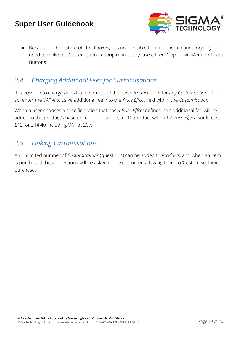

• Because of the nature of checkboxes, it is not possible to make them mandatory. If you need to make the Customisation Group mandatory, use either Drop-down Menu or Radio Buttons.

#### <span id="page-9-0"></span>*3.4 Charging Additional Fees for Customisations*

It is possible to charge an extra fee on top of the base *Product* price for any *Customisation*. To do so, enter the VAT-exclusive additional fee into the *Price Effect* field within the *Customisation*.

When a user chooses a specific option that has a *Price Effect* defined, this additional fee will be added to the product's base price. For example, a £10 product with a £2 *Price Effect* would cost £12, or £14.40 including VAT at 20%.

#### <span id="page-9-1"></span>*3.5 Linking Customisations*

An unlimited number of *Customisations* (questions) can be added to *Products*, and when an item is purchased these questions will be asked to the customer, allowing them to 'Customise' their purchase.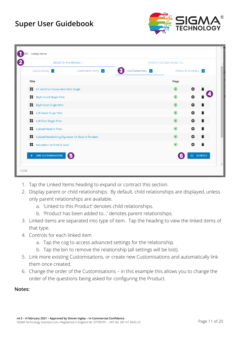

| ⊝     |       | Linked Items                          |                                                  |                       |                             |   |                   | $\blacktriangle$       |
|-------|-------|---------------------------------------|--------------------------------------------------|-----------------------|-----------------------------|---|-------------------|------------------------|
|       |       |                                       | LINKED TO THIS PRODUCT                           |                       | PRODUCT HAS BEEN ADDED TO   |   |                   |                        |
|       |       | CALCULATIONS 1                        | <b>COMPONENT PARTS</b> 4                         | 3<br>CUSTOMISATIONS 8 | <b>PRODUCTS TO UPSELL 0</b> |   |                   |                        |
|       | Title |                                       |                                                  |                       | Flags                       |   |                   |                        |
|       |       | HF Artist to Choose Best Print Single |                                                  |                       | $\odot$                     | ☆ |                   |                        |
|       |       | Right Hand Single Print               |                                                  |                       | $\odot$                     | ☆ |                   |                        |
|       |       | Right Foot Single Print               |                                                  |                       | $\bullet$                   | ∞ |                   |                        |
|       | 監     | Left Hand Single Print                |                                                  |                       | $\bullet$                   | ☆ |                   |                        |
|       | ĸ     | Left Foot Single Print                |                                                  |                       | $\odot$                     | ≎ |                   |                        |
|       | x     | Upload Hand or Foot                   |                                                  |                       | $\odot$                     | ☆ | T                 |                        |
|       | 詮     |                                       | Upload Handwriting/Signature for Back of Pendant |                       | $\odot$                     | ☆ | i                 |                        |
|       | Ħ.    | Inscription on front & back           |                                                  |                       | $\odot$                     |   |                   |                        |
|       |       | LINK CUSTOMISATIONS                   | 5                                                |                       |                             |   | <b>ÇE REORDER</b> | $\overline{\mathbf v}$ |
| CLOSE |       |                                       |                                                  |                       |                             |   |                   |                        |

- 1. Tap the Linked Items heading to expand or contract this section.
- 2. Display parent or child relationships. By default, child relationships are displayed, unless only parent relationships are available.
	- a. 'Linked to this Product' denotes child relationships.
	- b. 'Product has been added to…' denotes parent relationships.
- 3. Linked items are separated into type of item. Tap the heading to view the linked items of that type.
- 4. Controls for each linked item
	- a. Tap the cog to access advanced settings for the relationship.
	- b. Tap the bin to remove the relationship (all settings will be lost).
- 5. Link more existing Customisations, or create new Customisations and automatically link them once created.
- 6. Change the order of the Customisations in this example this allows you to change the order of the questions being asked for configuring the Product.

#### **Notes:**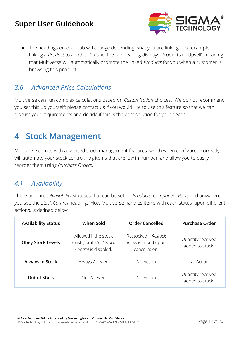

• The headings on each tab will change depending what you are linking. For example, linking a *Product* to another *Product* the tab heading displays 'Products to Upsell', meaning that Multiverse will automatically promote the linked *Products* for you when a customer is browsing this product.

### <span id="page-11-0"></span>*3.6 Advanced Price Calculations*

Multiverse can run complex calculations based on *Customisation* choices. We do not recommend you set this up yourself; please contact us if you would like to use this feature so that we can discuss your requirements and decide if this is the best solution for your needs.

## <span id="page-11-1"></span>**4 Stock Management**

Multiverse comes with advanced stock management features, which when configured correctly will automate your stock control, flag items that are low in number, and allow you to easily reorder them using *Purchase Orders*.

#### <span id="page-11-2"></span>*4.1 Availability*

There are three *Availability* statuses that can be set on *Products*, *Component Parts* and anywhere you see the *Stock Control* heading. How Multiverse handles items with each status, upon different actions, is defined below.

| <b>Availability Status</b> | When Sold                                                                  | <b>Order Cancelled</b>                                        | <b>Purchase Order</b>                |
|----------------------------|----------------------------------------------------------------------------|---------------------------------------------------------------|--------------------------------------|
| <b>Obey Stock Levels</b>   | Allowed if the stock<br>exists, or if Strict Stock<br>Control is disabled. | Restocked if Restock<br>Items is ticked upon<br>cancellation. | Quantity received<br>added to stock. |
| <b>Always in Stock</b>     | Always Allowed                                                             | No Action                                                     | No Action                            |
| Out of Stock               | Not Allowed                                                                | No Action                                                     | Quantity received<br>added to stock. |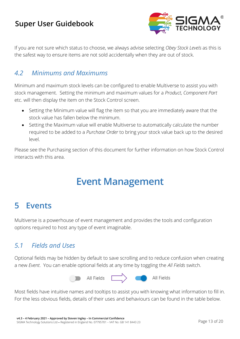

If you are not sure which status to choose, we always advise selecting *Obey Stock Levels* as this is the safest way to ensure items are not sold accidentally when they are out of stock.

#### <span id="page-12-0"></span>*4.2 Minimums and Maximums*

Minimum and maximum stock levels can be configured to enable Multiverse to assist you with stock management. Setting the minimum and maximum values for a *Product*, *Component Part* etc. will then display the item on the Stock Control screen.

- Setting the Minimum value will flag the item so that you are immediately aware that the stock value has fallen below the minimum.
- Setting the Maximum value will enable Multiverse to automatically calculate the number required to be added to a *Purchase Order* to bring your stock value back up to the desired level.

Please see the Purchasing section of this document for further information on how Stock Control interacts with this area.

# **Event Management**

## <span id="page-12-1"></span>**5 Events**

Multiverse is a powerhouse of event management and provides the tools and configuration options required to host any type of event imaginable.

### <span id="page-12-2"></span>*5.1 Fields and Uses*

Optional fields may be hidden by default to save scrolling and to reduce confusion when creating a new *Event*. You can enable optional fields at any time by toggling the *All Fields* switch.



Most fields have intuitive names and tooltips to assist you with knowing what information to fill in. For the less obvious fields, details of their uses and behaviours can be found in the table below.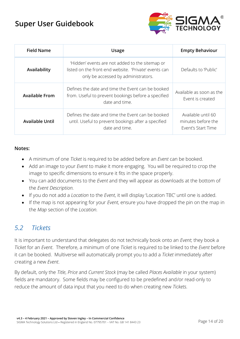

| <b>Field Name</b>      | <b>Usage</b>                                                                                                                                    | <b>Empty Behaviour</b>                                         |
|------------------------|-------------------------------------------------------------------------------------------------------------------------------------------------|----------------------------------------------------------------|
| Availability           | 'Hidden' events are not added to the sitemap or<br>listed on the front-end website. 'Private' events can<br>only be accessed by administrators. | Defaults to 'Public'                                           |
| <b>Available From</b>  | Defines the date and time the Event can be booked<br>from. Useful to prevent bookings before a specified<br>date and time.                      | Available as soon as the<br>Event is created                   |
| <b>Available Until</b> | Defines the date and time the Event can be booked<br>until. Useful to prevent bookings after a specified<br>date and time.                      | Available until 60<br>minutes before the<br>Event's Start Time |

#### **Notes:**

- A minimum of one *Ticket* is required to be added before an *Event* can be booked.
- Add an image to your *Event* to make it more engaging. You will be required to crop the image to specific dimensions to ensure it fits in the space properly.
- You can add documents to the *Event* and they will appear as downloads at the bottom of the *Event Description.*
- If you do not add a *Location* to the *Event*, it will display 'Location TBC' until one is added.
- If the map is not appearing for your *Event*, ensure you have dropped the pin on the map in the *Map* section of the *Location.*

### <span id="page-13-0"></span>*5.2 Tickets*

It is important to understand that delegates do not technically book onto an *Event*; they book a *Ticket* for an *Event*. Therefore, a minimum of one *Ticket* is required to be linked to the *Event* before it can be booked. Multiverse will automatically prompt you to add a *Ticket* immediately after creating a new *Event*.

By default, only the *Title*, *Price* and *Current Stock* (may be called *Places Available* in your system) fields are mandatory. Some fields may be configured to be predefined and/or read-only to reduce the amount of data input that you need to do when creating new *Tickets*.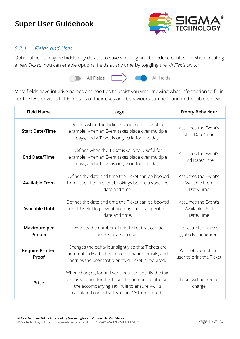

#### *5.2.1 Fields and Uses*

Optional fields may be hidden by default to save scrolling and to reduce confusion when creating a new *Ticket*. You can enable optional fields at any time by toggling the *All Fields* switch.



 $\begin{array}{c}\n\hline\n\end{array}$ 

All Fields

Most fields have intuitive names and tooltips to assist you with knowing what information to fill in. For the less obvious fields, details of their uses and behaviours can be found in the table below.

| <b>Field Name</b>               | <b>Usage</b>                                                                                                                                                                                                    | <b>Empty Behaviour</b>                              |
|---------------------------------|-----------------------------------------------------------------------------------------------------------------------------------------------------------------------------------------------------------------|-----------------------------------------------------|
| <b>Start Date/Time</b>          | Defines when the Ticket is valid from. Useful for<br>example, when an Event takes place over multiple<br>days, and a Ticket is only valid for one day.                                                          | Assumes the Event's<br>Start Date/Time              |
| <b>End Date/Time</b>            | Defines when the Ticket is valid to. Useful for<br>example, when an Event takes place over multiple<br>days, and a Ticket is only valid for one day.                                                            | Assumes the Event's<br>End Date/Time                |
| <b>Available From</b>           | Defines the date and time the Ticket can be booked<br>from. Useful to prevent bookings before a specified<br>date and time.                                                                                     | Assumes the Event's<br>Available From<br>Date/Time  |
| <b>Available Until</b>          | Defines the date and time the Ticket can be booked<br>until. Useful to prevent bookings after a specified<br>date and time.                                                                                     | Assumes the Event's<br>Available Until<br>Date/Time |
| Maximum per<br>Person           | Restricts the number of this Ticket that can be<br>booked by each user.                                                                                                                                         | Unrestricted unless<br>globally configured          |
| <b>Require Printed</b><br>Proof | Changes the behaviour slightly so that Tickets are<br>automatically attached to confirmation emails, and<br>notifies the user that a printed Ticket is required.                                                | Will not prompt the<br>user to print the Ticket     |
| Price                           | When charging for an Event, you can specify the tax-<br>exclusive price for the Ticket. Remember to also set<br>the accompanying Tax Rule to ensure VAT is<br>calculated correctly (if you are VAT registered). | Ticket will be free of<br>charge                    |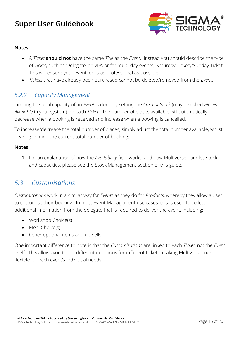

#### **Notes:**

- A *Ticket* **should not** have the same *Title* as the *Event*. Instead you should describe the type of *Ticket*, such as 'Delegate' or 'VIP', or for multi-day events, 'Saturday Ticket', 'Sunday Ticket'. This will ensure your event looks as professional as possible.
- *Tickets* that have already been purchased cannot be deleted/removed from the *Event*.

#### *5.2.2 Capacity Management*

Limiting the total capacity of an *Event* is done by setting the *Current Stock* (may be called *Places Available* in your system) for each *Ticket*. The number of places available will automatically decrease when a booking is received and increase when a booking is cancelled.

To increase/decrease the total number of places, simply adjust the total number available, whilst bearing in mind the current total number of bookings.

#### **Notes:**

1. For an explanation of how the *Availability* field works, and how Multiverse handles stock and capacities, please see the Stock Management section of this guide.

#### <span id="page-15-0"></span>*5.3 Customisations*

*Customisations* work in a similar way for *Events* as they do for *Products*, whereby they allow a user to customise their booking. In most Event Management use cases, this is used to collect additional information from the delegate that is required to deliver the event, including:

- Workshop Choice(s)
- Meal Choice(s)
- Other optional items and up-sells

One important difference to note is that the *Customisations* are linked to each *Ticket*, not the *Event* itself. This allows you to ask different questions for different tickets, making Multiverse more flexible for each event's individual needs.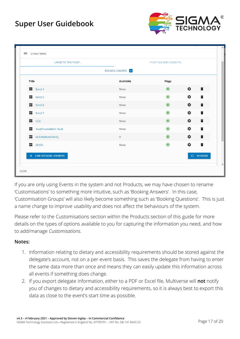

| LINKED TO THIS TICKET  |                   | TICKET HAS BEEN ADDED TO |                         |
|------------------------|-------------------|--------------------------|-------------------------|
|                        | BOOKING ANSWERS 8 |                          |                         |
| Title                  | Available         | Flags                    |                         |
| $\mathbf{B}$ Band 4    | None              | $\odot$                  | *<br>î                  |
| $\blacksquare$ Band 5  | None              | $\odot$                  | î<br>0                  |
| $\mathbf{B}$ Band 6    | None              | $\odot$                  | $\hat{\mathbf{u}}$<br>* |
| $\blacksquare$ Band 7  | None              | $\odot$                  | ٠<br>î                  |
| $\blacksquare$ CCG     | None              | $\odot$                  | 0<br>î                  |
| Trust/Foundation Trust | None              | $\odot$                  | î<br>0                  |
| ALB/National Body      | $\circ$           | $\odot$                  | *<br>î                  |
| <b>T</b> AHSN          | None              | $\odot$                  | *<br>î                  |
| + LINK BOOKING ANSWERS |                   |                          | $C = REORDER$           |

If you are only using Events in the system and not Products, we may have chosen to rename 'Customisations' to something more intuitive, such as 'Booking Answers'. In this case, 'Customisation Groups' will also likely become something such as 'Booking Questions'. This is just a name change to improve usability and does not affect the behaviours of the system.

Please refer to the Customisations section within the Products section of this guide for more details on the types of options available to you for capturing the information you need, and how to add/manage *Customisations*.

#### **Notes:**

- 1. Information relating to dietary and accessibility requirements should be stored against the delegate's account, not on a per-event basis. This saves the delegate from having to enter the same data more than once and means they can easily update this information across all events if something does change.
- 2. If you export delegate information, either to a PDF or Excel file, Multiverse will **not** notify you of changes to dietary and accessibility requirements, so it is always best to export this data as close to the event's start time as possible.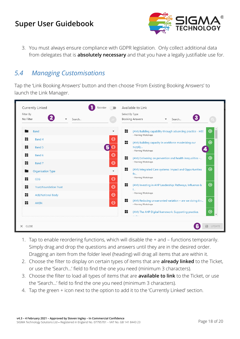

3. You must always ensure compliance with GDPR legislation. Only collect additional data from delegates that is **absolutely necessary** and that you have a legally justifiable use for.

#### <span id="page-17-0"></span>*5.4 Managing Customisations*

Tap the 'Link Booking Answers' button and then choose 'From Existing Booking Answers' to launch the Link Manager.

| No Filter                                         | Search |                               | <b>Booking Answers</b>                | Search                                                    |             |
|---------------------------------------------------|--------|-------------------------------|---------------------------------------|-----------------------------------------------------------|-------------|
| Band                                              |        | x<br>$\overline{\phantom{a}}$ | - Morning Workshops                   | (AM) Building capability through advancing practice - HEE | $\bigoplus$ |
| 詮<br>Band 4<br>K<br>Band 5                        |        | Θ<br>詮<br>5<br>Θ              | supply<br>- Morning Workshops         | (AM) Building capacity in workforce maximising our        | $\oplus$    |
| K<br>Band 6<br>ĸ<br>Band 7                        |        | Θ<br>詮<br>$\Theta$            | - Morning Workshops                   | (AM) Delivering on prevention and health inequalities -   | $\oplus$    |
| Organisation Type<br>K<br>CCG                     |        | 監<br>Θ                        | $f_{\text{O}}$<br>- Morning Workshops | (AM) Integrated Care systems: Impact and Opportunities    | $\bigoplus$ |
| 詮<br><b>Trust/Foundation Trust</b>                |        | K<br>$\Theta$                 | I<br>- Morning Workshops              | (AM) Investing in AHP Leadership: Pathways, Influence &   | $\bigoplus$ |
| ĸ<br><b>ALB/National Body</b><br>監<br><b>AHSN</b> |        | Θ<br>監<br>$\Theta$            | - Morning Workshops                   | (AM) Reducing unwarranted variation - are we doing it r   | $\oplus$    |
|                                                   |        | 監                             |                                       | (AM) The AHP Digital framework: Supporting practice,      | $\oplus$    |

- 1. Tap to enable reordering functions, which will disable the + and functions temporarily. Simply drag and drop the questions and answers until they are in the desired order. Dragging an item from the folder level (heading) will drag all items that are within it.
- 2. Choose the filter to display on certain types of items that are **already linked** to the Ticket, or use the 'Search…' field to find the one you need (minimum 3 characters).
- 3. Choose the filter to load all types of items that are **available to link** to the Ticket, or use the 'Search…' field to find the one you need (minimum 3 characters).
- 4. Tap the green + icon next to the option to add it to the 'Currently Linked' section.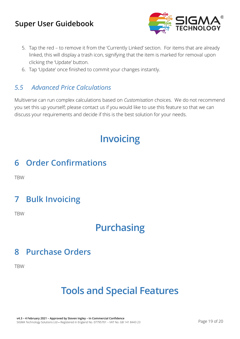

- 5. Tap the red to remove it from the 'Currently Linked' section. For items that are already linked, this will display a trash icon, signifying that the item is marked for removal upon clicking the 'Update' button.
- 6. Tap 'Update' once finished to commit your changes instantly.

### <span id="page-18-0"></span>*5.5 Advanced Price Calculations*

Multiverse can run complex calculations based on *Customisation* choices. We do not recommend you set this up yourself; please contact us if you would like to use this feature so that we can discuss your requirements and decide if this is the best solution for your needs.

# **Invoicing**

## <span id="page-18-1"></span>**6 Order Confirmations**

**TRW** 

# <span id="page-18-2"></span>**7 Bulk Invoicing**

TBW

# **Purchasing**

## <span id="page-18-3"></span>**8 Purchase Orders**

TBW

# **Tools and Special Features**